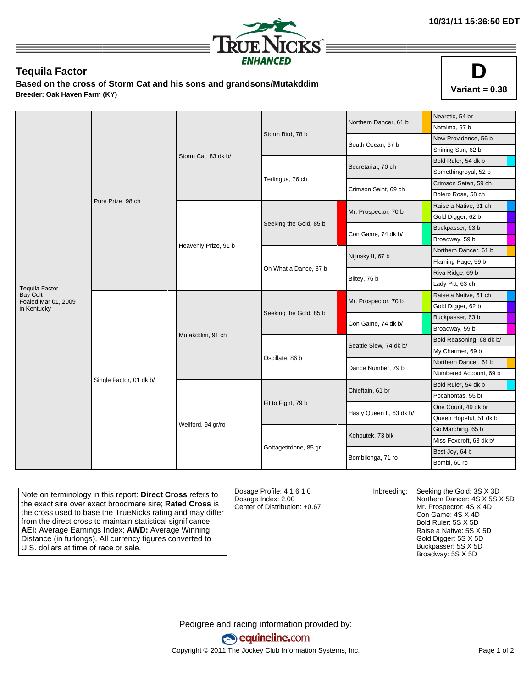

## **Tequila Factor**

**Based on the cross of Storm Cat and his sons and grandsons/Mutakddim Breeder: Oak Haven Farm (KY)**



|                                        | Pure Prize, 98 ch       | Storm Cat, 83 dk b/  |                        | Northern Dancer, 61 b    | Nearctic, 54 br          |
|----------------------------------------|-------------------------|----------------------|------------------------|--------------------------|--------------------------|
|                                        |                         |                      |                        |                          | Natalma, 57 b            |
|                                        |                         |                      | Storm Bird, 78 b       | South Ocean, 67 b        | New Providence, 56 b     |
|                                        |                         |                      |                        |                          | Shining Sun, 62 b        |
|                                        |                         |                      |                        | Secretariat, 70 ch       | Bold Ruler, 54 dk b      |
|                                        |                         |                      |                        |                          | Somethingroyal, 52 b     |
|                                        |                         |                      | Terlingua, 76 ch       | Crimson Saint, 69 ch     | Crimson Satan, 59 ch     |
|                                        |                         |                      |                        |                          | Bolero Rose, 58 ch       |
|                                        |                         | Heavenly Prize, 91 b | Seeking the Gold, 85 b | Mr. Prospector, 70 b     | Raise a Native, 61 ch    |
|                                        |                         |                      |                        |                          | Gold Digger, 62 b        |
|                                        |                         |                      |                        | Con Game, 74 dk b/       | Buckpasser, 63 b         |
|                                        |                         |                      |                        |                          | Broadway, 59 b           |
|                                        |                         |                      | Oh What a Dance, 87 b  | Nijinsky II, 67 b        | Northern Dancer, 61 b    |
|                                        |                         |                      |                        |                          | Flaming Page, 59 b       |
|                                        |                         |                      |                        | Blitey, 76 b             | Riva Ridge, 69 b         |
| <b>Tequila Factor</b>                  |                         |                      |                        |                          | Lady Pitt, 63 ch         |
| <b>Bay Colt</b><br>Foaled Mar 01, 2009 | Single Factor, 01 dk b/ | Mutakddim, 91 ch     | Seeking the Gold, 85 b | Mr. Prospector, 70 b     | Raise a Native, 61 ch    |
| in Kentucky                            |                         |                      |                        |                          | Gold Digger, 62 b        |
|                                        |                         |                      |                        | Con Game, 74 dk b/       | Buckpasser, 63 b         |
|                                        |                         |                      |                        |                          | Broadway, 59 b           |
|                                        |                         |                      |                        | Seattle Slew, 74 dk b/   | Bold Reasoning, 68 dk b/ |
|                                        |                         |                      | Oscillate, 86 b        |                          | My Charmer, 69 b         |
|                                        |                         |                      |                        | Dance Number, 79 b       | Northern Dancer, 61 b    |
|                                        |                         |                      |                        |                          | Numbered Account, 69 b   |
|                                        |                         | Wellford, 94 gr/ro   |                        | Chieftain, 61 br         | Bold Ruler, 54 dk b      |
|                                        |                         |                      | Fit to Fight, 79 b     |                          | Pocahontas, 55 br        |
|                                        |                         |                      |                        | Hasty Queen II, 63 dk b/ | One Count, 49 dk br      |
|                                        |                         |                      |                        |                          | Queen Hopeful, 51 dk b   |
|                                        |                         |                      |                        | Kohoutek, 73 blk         | Go Marching, 65 b        |
|                                        |                         |                      |                        |                          | Miss Foxcroft, 63 dk b/  |
|                                        |                         |                      | Gottagetitdone, 85 gr  | Bombilonga, 71 ro        | Best Joy, 64 b           |
|                                        |                         |                      |                        |                          | Bombi, 60 ro             |

Note on terminology in this report: **Direct Cross** refers to the exact sire over exact broodmare sire; **Rated Cross** is the cross used to base the TrueNicks rating and may differ from the direct cross to maintain statistical significance; **AEI:** Average Earnings Index; **AWD:** Average Winning Distance (in furlongs). All currency figures converted to U.S. dollars at time of race or sale.

Dosage Profile: 4 1 6 1 0 Dosage Index: 2.00 Center of Distribution: +0.67

Inbreeding: Seeking the Gold: 3S X 3D Northern Dancer: 4S X 5S X 5D Mr. Prospector: 4S X 4D Con Game: 4S X 4D Bold Ruler: 5S X 5D Raise a Native: 5S X 5D Gold Digger: 5S X 5D Buckpasser: 5S X 5D Broadway: 5S X 5D

Pedigree and racing information provided by: equineline.com Copyright © 2011 The Jockey Club Information Systems, Inc. example 2012 Page 1 of 2